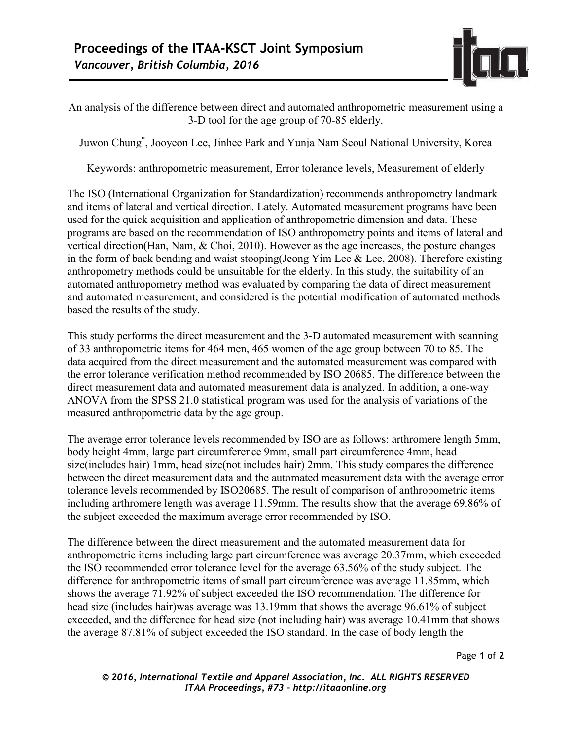

An analysis of the difference between direct and automated anthropometric measurement using a 3-D tool for the age group of 70-85 elderly.

Juwon Chung\* , Jooyeon Lee, Jinhee Park and Yunja Nam Seoul National University, Korea

Keywords: anthropometric measurement, Error tolerance levels, Measurement of elderly

The ISO (International Organization for Standardization) recommends anthropometry landmark and items of lateral and vertical direction. Lately. Automated measurement programs have been used for the quick acquisition and application of anthropometric dimension and data. These programs are based on the recommendation of ISO anthropometry points and items of lateral and vertical direction(Han, Nam, & Choi, 2010). However as the age increases, the posture changes in the form of back bending and waist stooping(Jeong Yim Lee  $\&$  Lee, 2008). Therefore existing anthropometry methods could be unsuitable for the elderly. In this study, the suitability of an automated anthropometry method was evaluated by comparing the data of direct measurement and automated measurement, and considered is the potential modification of automated methods based the results of the study.

This study performs the direct measurement and the 3-D automated measurement with scanning of 33 anthropometric items for 464 men, 465 women of the age group between 70 to 85. The data acquired from the direct measurement and the automated measurement was compared with the error tolerance verification method recommended by ISO 20685. The difference between the direct measurement data and automated measurement data is analyzed. In addition, a one-way ANOVA from the SPSS 21.0 statistical program was used for the analysis of variations of the measured anthropometric data by the age group.

The average error tolerance levels recommended by ISO are as follows: arthromere length 5mm, body height 4mm, large part circumference 9mm, small part circumference 4mm, head size(includes hair) 1mm, head size(not includes hair) 2mm. This study compares the difference between the direct measurement data and the automated measurement data with the average error tolerance levels recommended by ISO20685. The result of comparison of anthropometric items including arthromere length was average 11.59mm. The results show that the average 69.86% of the subject exceeded the maximum average error recommended by ISO.

The difference between the direct measurement and the automated measurement data for anthropometric items including large part circumference was average 20.37mm, which exceeded the ISO recommended error tolerance level for the average 63.56% of the study subject. The difference for anthropometric items of small part circumference was average 11.85mm, which shows the average 71.92% of subject exceeded the ISO recommendation. The difference for head size (includes hair)was average was 13.19mm that shows the average 96.61% of subject exceeded, and the difference for head size (not including hair) was average 10.41mm that shows the average 87.81% of subject exceeded the ISO standard. In the case of body length the

Page **1** of **2**